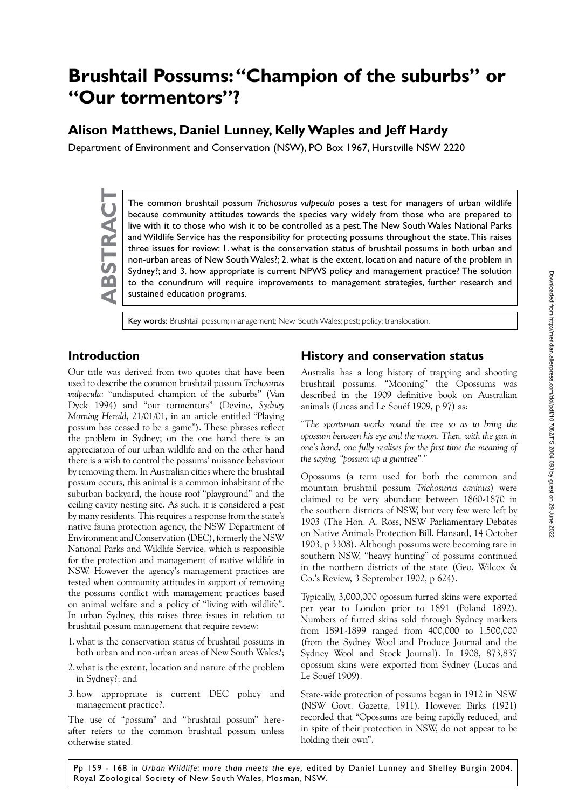# **Brushtail Possums: "Champion of the suburbs" or "Our tormentors"?**

# **Alison Matthews, Daniel Lunney, Kelly Waples and Jeff Hardy**

Department of Environment and Conservation (NSW), PO Box 1967, Hurstville NSW 2220

The common brushtail possum *Trichosurus vulpecula* poses a test for managers of urban wildlife<br>because community attitudes towards the species vary widely from those who are prepared to<br>live with it to those who wish it t because community attitudes towards the species vary widely from those who are prepared to live with it to those who wish it to be controlled as a pest. The New South Wales National Parks and Wildlife Service has the responsibility for protecting possums throughout the state. This raises three issues for review: 1. what is the conservation status of brushtail possums in both urban and non-urban areas of New South Wales?; 2. what is the extent, location and nature of the problem in Sydney?; and 3. how appropriate is current NPWS policy and management practice? The solution to the conundrum will require improvements to management strategies, further research and sustained education programs.

Key words: Brushtail possum; management; New South Wales; pest; policy; translocation.

## **Introduction**

Our title was derived from two quotes that have been used to describe the common brushtail possum *Trichosurus vulpecula*: "undisputed champion of the suburbs" (Van Dyck 1994) and "our tormentors" (Devine, *Sydney Morning Herald*, 21/01/01, in an article entitled "Playing possum has ceased to be a game"). These phrases reflect the problem in Sydney; on the one hand there is an appreciation of our urban wildlife and on the other hand there is a wish to control the possums' nuisance behaviour by removing them. In Australian cities where the brushtail possum occurs, this animal is a common inhabitant of the suburban backyard, the house roof "playground" and the ceiling cavity nesting site. As such, it is considered a pest by many residents. This requires a response from the state's native fauna protection agency, the NSW Department of Environment and Conservation (DEC), formerly the NSW National Parks and Wildlife Service, which is responsible for the protection and management of native wildlife in NSW. However the agency's management practices are tested when community attitudes in support of removing the possums conflict with management practices based on animal welfare and a policy of "living with wildlife". In urban Sydney, this raises three issues in relation to brushtail possum management that require review:

- 1.what is the conservation status of brushtail possums in both urban and non-urban areas of New South Wales?;
- 2.what is the extent, location and nature of the problem in Sydney?; and
- 3.how appropriate is current DEC policy and management practice?.

The use of "possum" and "brushtail possum" hereafter refers to the common brushtail possum unless otherwise stated.

#### **History and conservation status**

Australia has a long history of trapping and shooting brushtail possums. "Mooning" the Opossums was described in the 1909 definitive book on Australian animals (Lucas and Le Souëf 1909, p 97) as:

*"The sportsman works round the tree so as to bring the opossum between his eye and the moon. Then, with the gun in one's hand, one fully realises for the first time the meaning of the saying, "possum up a gumtree"."*

Opossums (a term used for both the common and mountain brushtail possum *Trichosurus caninus*) were claimed to be very abundant between 1860-1870 in the southern districts of NSW, but very few were left by 1903 (The Hon. A. Ross, NSW Parliamentary Debates on Native Animals Protection Bill. Hansard, 14 October 1903, p 3308). Although possums were becoming rare in southern NSW, "heavy hunting" of possums continued in the northern districts of the state (Geo. Wilcox & Co.'s Review, 3 September 1902, p 624).

Typically, 3,000,000 opossum furred skins were exported per year to London prior to 1891 (Poland 1892). Numbers of furred skins sold through Sydney markets from 1891-1899 ranged from 400,000 to 1,500,000 (from the Sydney Wool and Produce Journal and the Sydney Wool and Stock Journal). In 1908, 873,837 opossum skins were exported from Sydney (Lucas and Le Souëf 1909).

State-wide protection of possums began in 1912 in NSW (NSW Govt. Gazette, 1911). However, Birks (1921) recorded that "Opossums are being rapidly reduced, and in spite of their protection in NSW, do not appear to be holding their own".

Pp 159 - 168 in *Urban Wildlife: more than meets the eye,* edited by Daniel Lunney and Shelley Burgin 2004. Royal Zoological Society of New South Wales, Mosman, NSW.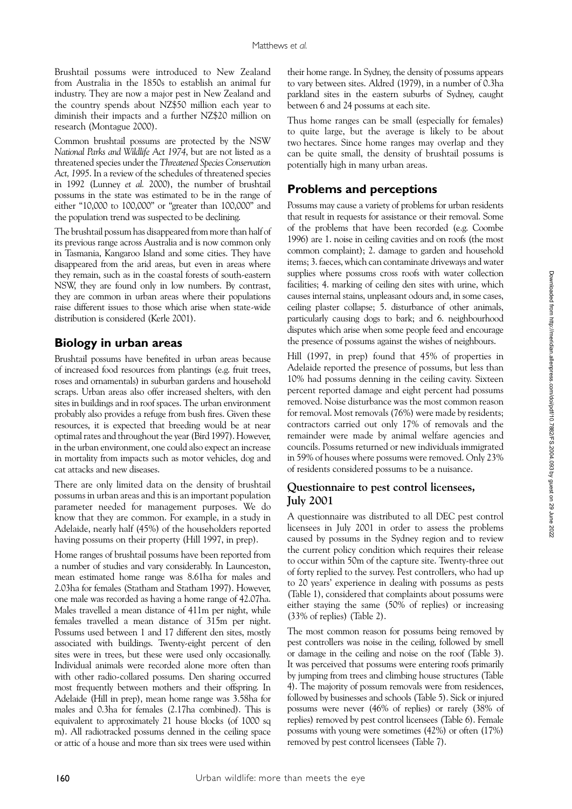Brushtail possums were introduced to New Zealand from Australia in the 1850s to establish an animal fur industry. They are now a major pest in New Zealand and the country spends about NZ\$50 million each year to diminish their impacts and a further NZ\$20 million on research (Montague 2000).

Common brushtail possums are protected by the NSW *National Parks and Wildlife Act 1974*, but are not listed as a threatened species under the *Threatened Species Conservation Act, 1995*. In a review of the schedules of threatened species in 1992 (Lunney *et al.* 2000), the number of brushtail possums in the state was estimated to be in the range of either "10,000 to 100,000" or "greater than 100,000" and the population trend was suspected to be declining.

The brushtail possum has disappeared from more than half of its previous range across Australia and is now common only in Tasmania, Kangaroo Island and some cities. They have disappeared from the arid areas, but even in areas where they remain, such as in the coastal forests of south-eastern NSW, they are found only in low numbers. By contrast, they are common in urban areas where their populations raise different issues to those which arise when state-wide distribution is considered (Kerle 2001).

## **Biology in urban areas**

Brushtail possums have benefited in urban areas because of increased food resources from plantings (e.g. fruit trees, roses and ornamentals) in suburban gardens and household scraps. Urban areas also offer increased shelters, with den sites in buildings and in roof spaces. The urban environment probably also provides a refuge from bush fires. Given these resources, it is expected that breeding would be at near optimal rates and throughout the year (Bird 1997). However, in the urban environment, one could also expect an increase in mortality from impacts such as motor vehicles, dog and cat attacks and new diseases.

There are only limited data on the density of brushtail possums in urban areas and this is an important population parameter needed for management purposes. We do know that they are common. For example, in a study in Adelaide, nearly half (45%) of the householders reported having possums on their property (Hill 1997, in prep).

Home ranges of brushtail possums have been reported from a number of studies and vary considerably. In Launceston, mean estimated home range was 8.61ha for males and 2.03ha for females (Statham and Statham 1997). However, one male was recorded as having a home range of 42.07ha. Males travelled a mean distance of 411m per night, while females travelled a mean distance of 315m per night. Possums used between 1 and 17 different den sites, mostly associated with buildings. Twenty-eight percent of den sites were in trees, but these were used only occasionally. Individual animals were recorded alone more often than with other radio-collared possums. Den sharing occurred most frequently between mothers and their offspring. In Adelaide (Hill in prep), mean home range was 3.58ha for males and 0.3ha for females (2.17ha combined). This is equivalent to approximately 21 house blocks (of 1000 sq m). All radiotracked possums denned in the ceiling space or attic of a house and more than six trees were used within

their home range. In Sydney, the density of possums appears to vary between sites. Aldred (1979), in a number of 0.3ha parkland sites in the eastern suburbs of Sydney, caught between 6 and 24 possums at each site.

Thus home ranges can be small (especially for females) to quite large, but the average is likely to be about two hectares. Since home ranges may overlap and they can be quite small, the density of brushtail possums is potentially high in many urban areas.

## **Problems and perceptions**

Possums may cause a variety of problems for urban residents that result in requests for assistance or their removal. Some of the problems that have been recorded (e.g. Coombe 1996) are 1. noise in ceiling cavities and on roofs (the most common complaint); 2. damage to garden and household items; 3. faeces, which can contaminate driveways and water supplies where possums cross roofs with water collection facilities; 4. marking of ceiling den sites with urine, which causes internal stains, unpleasant odours and, in some cases, ceiling plaster collapse; 5. disturbance of other animals, particularly causing dogs to bark; and 6. neighbourhood disputes which arise when some people feed and encourage the presence of possums against the wishes of neighbours.

Hill (1997, in prep) found that 45% of properties in Adelaide reported the presence of possums, but less than 10% had possums denning in the ceiling cavity. Sixteen percent reported damage and eight percent had possums removed. Noise disturbance was the most common reason for removal. Most removals (76%) were made by residents; contractors carried out only 17% of removals and the remainder were made by animal welfare agencies and councils. Possums returned or new individuals immigrated in 59% of houses where possums were removed. Only 23% of residents considered possums to be a nuisance.

#### **Questionnaire to pest control licensees, July 2001**

A questionnaire was distributed to all DEC pest control licensees in July 2001 in order to assess the problems caused by possums in the Sydney region and to review the current policy condition which requires their release to occur within 50m of the capture site. Twenty-three out of forty replied to the survey. Pest controllers, who had up to 20 years' experience in dealing with possums as pests (Table 1), considered that complaints about possums were either staying the same (50% of replies) or increasing (33% of replies) (Table 2).

The most common reason for possums being removed by pest controllers was noise in the ceiling, followed by smell or damage in the ceiling and noise on the roof (Table 3). It was perceived that possums were entering roofs primarily by jumping from trees and climbing house structures (Table 4). The majority of possum removals were from residences, followed by businesses and schools (Table 5). Sick or injured possums were never (46% of replies) or rarely (38% of replies) removed by pest control licensees (Table 6). Female possums with young were sometimes (42%) or often (17%) removed by pest control licensees (Table 7).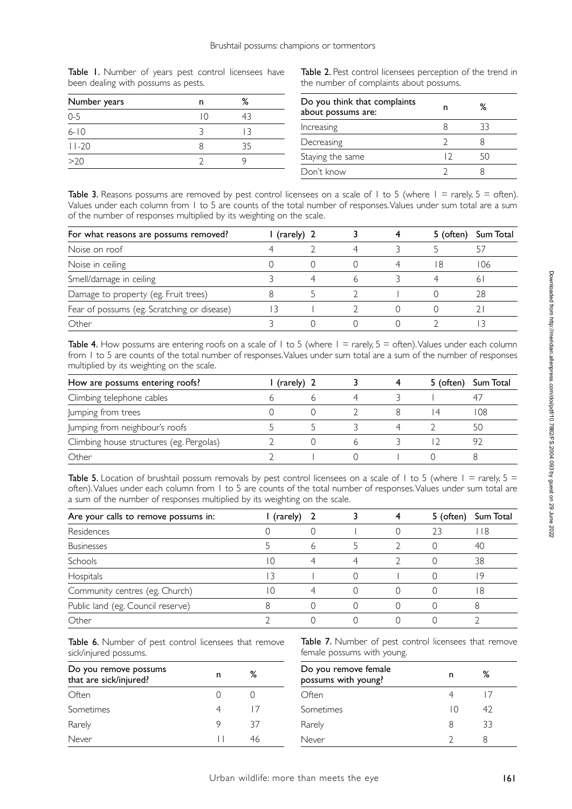Table 1. Number of years pest control licensees have been dealing with possums as pests.

| Number years |    | %  |  |
|--------------|----|----|--|
| $0 - 5$      | IΩ |    |  |
| $6 - 10$     |    |    |  |
| $11-20$      |    | 35 |  |
| >20          |    |    |  |
|              |    |    |  |

Table 2. Pest control licensees perception of the trend in the number of complaints about possums.

| Do you think that complaints<br>about possums are: |        | %  |  |
|----------------------------------------------------|--------|----|--|
| Increasing                                         |        | 33 |  |
| Decreasing                                         |        |    |  |
| Staying the same                                   | $\Box$ |    |  |
| Don't know                                         |        |    |  |

Table 3. Reasons possums are removed by pest control licensees on a scale of 1 to 5 (where  $1 =$  rarely,  $5 =$  often). Values under each column from 1 to 5 are counts of the total number of responses. Values under sum total are a sum of the number of responses multiplied by its weighting on the scale.

| For what reasons are possums removed?       | l (rarely) 2 |   |   | 5 (often) | Sum Total |
|---------------------------------------------|--------------|---|---|-----------|-----------|
| Noise on roof                               |              |   | 4 |           |           |
| Noise in ceiling                            |              |   |   | -8        | 106       |
| Smell/damage in ceiling                     |              | 4 |   |           | 6         |
| Damage to property (eg. Fruit trees)        |              |   |   |           | 28        |
| Fear of possums (eg. Scratching or disease) | 3            |   |   |           |           |
| Other                                       |              |   |   |           |           |

Table 4. How possums are entering roofs on a scale of 1 to 5 (where  $1 =$  rarely,  $5 =$  often). Values under each column from 1 to 5 are counts of the total number of responses. Values under sum total are a sum of the number of responses multiplied by its weighting on the scale.

| How are possums entering roofs?          | (rarely) 2 |  | 5 (often) | Sum Total |
|------------------------------------------|------------|--|-----------|-----------|
| Climbing telephone cables                |            |  |           |           |
| Jumping from trees                       |            |  |           | 108       |
| Jumping from neighbour's roofs           |            |  |           | 50        |
| Climbing house structures (eg. Pergolas) |            |  |           |           |
| Other                                    |            |  |           |           |

Table 5. Location of brushtail possum removals by pest control licensees on a scale of 1 to 5 (where  $1 =$  rarely,  $5 =$ often). Values under each column from 1 to 5 are counts of the total number of responses. Values under sum total are a sum of the number of responses multiplied by its weighting on the scale.

| Are your calls to remove possums in: | (rarely) |                |   | 5 (often) | Sum Total |
|--------------------------------------|----------|----------------|---|-----------|-----------|
| Residences                           |          |                |   | 23        | 18        |
| <b>Businesses</b>                    |          | 6              |   |           | 40        |
| Schools                              | ۱O       | $\overline{A}$ | 4 |           | 38        |
| Hospitals                            | 3        |                |   |           | 9         |
| Community centres (eg. Church)       | ١O       |                |   |           | -8        |
| Public land (eg. Council reserve)    |          |                |   |           |           |
| Other                                |          |                |   |           |           |

Table 6. Number of pest control licensees that remove sick/injured possums.

| Do you remove possums<br>that are sick/injured? | n | ℅  |  |
|-------------------------------------------------|---|----|--|
| Often                                           |   |    |  |
| Sometimes                                       |   |    |  |
| Rarely                                          | 9 | 37 |  |
| Never                                           |   |    |  |

Table 7. Number of pest control licensees that remove female possums with young.

| Do you remove female<br>possums with young? | n  | ℅  |
|---------------------------------------------|----|----|
| Often                                       |    |    |
| Sometimes                                   | IΩ | 47 |
| Rarely                                      | 8  | 33 |
| Never                                       |    |    |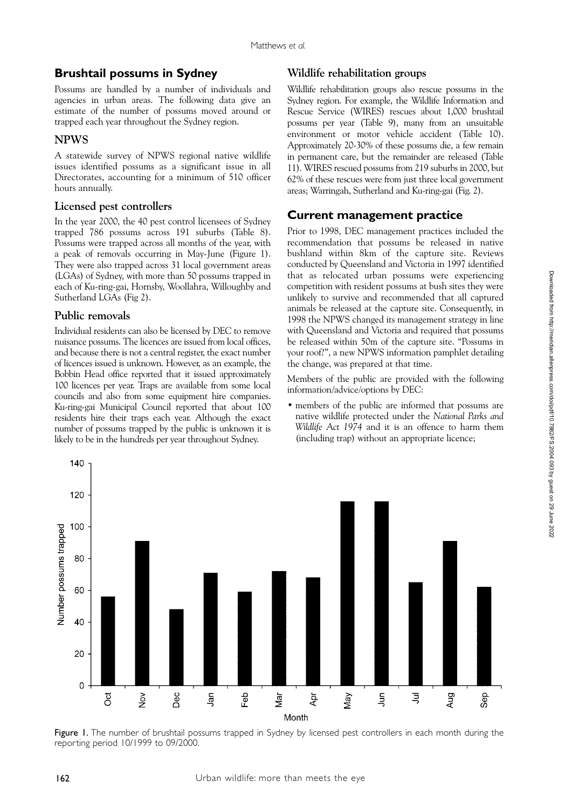# **Brushtail possums in Sydney**

Possums are handled by a number of individuals and agencies in urban areas. The following data give an estimate of the number of possums moved around or trapped each year throughout the Sydney region.

## **NPWS**

A statewide survey of NPWS regional native wildlife issues identified possums as a significant issue in all Directorates, accounting for a minimum of 510 officer hours annually.

## **Licensed pest controllers**

In the year 2000, the 40 pest control licensees of Sydney trapped 786 possums across 191 suburbs (Table 8). Possums were trapped across all months of the year, with a peak of removals occurring in May-June (Figure 1). They were also trapped across 31 local government areas (LGAs) of Sydney, with more than 50 possums trapped in each of Ku-ring-gai, Hornsby, Woollahra, Willoughby and Sutherland LGAs (Fig 2).

## **Public removals**

Individual residents can also be licensed by DEC to remove nuisance possums. The licences are issued from local offices, and because there is not a central register, the exact number of licences issued is unknown. However, as an example, the Bobbin Head office reported that it issued approximately 100 licences per year. Traps are available from some local councils and also from some equipment hire companies. Ku-ring-gai Municipal Council reported that about 100 residents hire their traps each year. Although the exact number of possums trapped by the public is unknown it is likely to be in the hundreds per year throughout Sydney.

## **Wildlife rehabilitation groups**

Wildlife rehabilitation groups also rescue possums in the Sydney region. For example, the Wildlife Information and Rescue Service (WIRES) rescues about 1,000 brushtail possums per year (Table 9), many from an unsuitable environment or motor vehicle accident (Table 10). Approximately 20-30% of these possums die, a few remain in permanent care, but the remainder are released (Table 11). WIRES rescued possums from 219 suburbs in 2000, but 62% of these rescues were from just three local government areas; Warringah, Sutherland and Ku-ring-gai (Fig. 2).

# **Current management practice**

Prior to 1998, DEC management practices included the recommendation that possums be released in native bushland within 8km of the capture site. Reviews conducted by Queensland and Victoria in 1997 identified that as relocated urban possums were experiencing competition with resident possums at bush sites they were unlikely to survive and recommended that all captured animals be released at the capture site. Consequently, in 1998 the NPWS changed its management strategy in line with Queensland and Victoria and required that possums be released within 50m of the capture site. "Possums in your roof?", a new NPWS information pamphlet detailing the change, was prepared at that time.

Members of the public are provided with the following information/advice/options by DEC:

• members of the public are informed that possums are native wildlife protected under the *National Parks and Wildlife Act 1974* and it is an offence to harm them (including trap) without an appropriate licence;



Figure 1. The number of brushtail possums trapped in Sydney by licensed pest controllers in each month during the reporting period 10/1999 to 09/2000.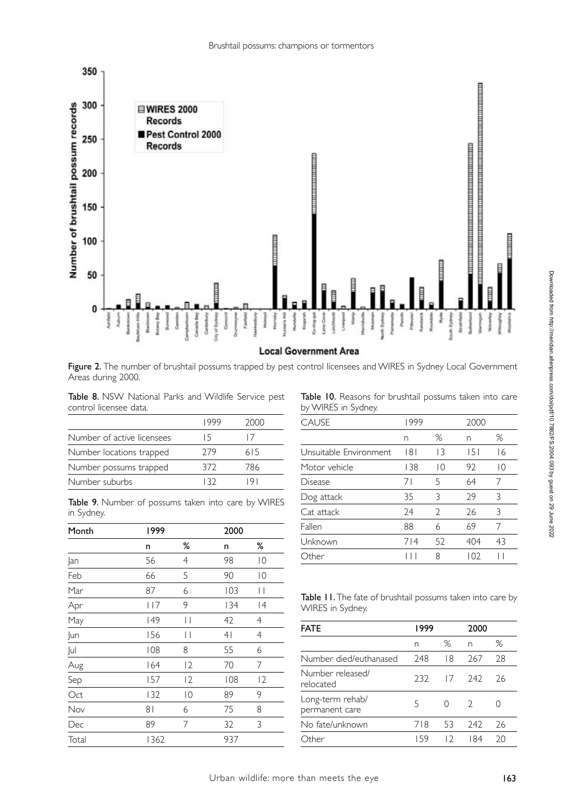

#### **Local Government Area**

Figure 2. The number of brushtail possums trapped by pest control licensees and WIRES in Sydney Local Government Areas during 2000.

Table 8. NSW National Parks and Wildlife Service pest control licensee data.

|                            | צלאו  | 2000 |
|----------------------------|-------|------|
| Number of active licensees | 15.   |      |
| Number locations trapped   | 279   | 615  |
| Number possums trapped     | 372   | 786  |
| Number suburbs             | 1 R J |      |

Table 9. Number of possums taken into care by WIRES in Sydney.

| Month | 1999           |                 | 2000           |                 |
|-------|----------------|-----------------|----------------|-----------------|
|       | n              | ℅               | n              | ℅               |
| Jan   | 56             | $\overline{4}$  | 98             | $\overline{0}$  |
| Feb   | 66             | 5               | 90             | $\overline{0}$  |
| Mar   | 87             | 6               | 103            | $\vert \ \vert$ |
| Apr   | 117            | 9               | 134            | 4               |
| May   | 149            | $\vert \ \vert$ | 42             | $\overline{4}$  |
| Jun   | 156            | $\vert \ \vert$ | 4 <sub>l</sub> | $\overline{4}$  |
| Jul   | 108            | 8               | 55             | 6               |
| Aug   | 164            | 2               | 70             | 7               |
| Sep   | 157            | 12              | 108            | 2               |
| Oct   | 132            | $\overline{0}$  | 89             | 9               |
| Nov   | 8 <sub>1</sub> | 6               | 75             | 8               |
| Dec   | 89             | 7               | 32             | 3               |
| Total | 1362           |                 | 937            |                 |

Table 10. Reasons for brushtail possums taken into care by WIRES in Sydney.

| <b>CAUSE</b>           | 1999 |    | 2000 |                |
|------------------------|------|----|------|----------------|
|                        | n    | %  | n    | %              |
| Unsuitable Environment | 8    | 13 | 151  | 16             |
| Motor vehicle          | 138  | ΙO | 92   | $\overline{0}$ |
| Disease                | 71   | 5  | 64   | 7              |
| Dog attack             | 35   | 3  | 29   | 3              |
| Cat attack             | 24   | V  | 26   | 3              |
| Fallen                 | 88   | 6  | 69   | 7              |
| Unknown                | 714  | 52 | 404  | 43             |
| Other                  |      | 8  | 102  |                |

| Table II. The fate of brushtail possums taken into care by |  |
|------------------------------------------------------------|--|
| WIRES in Sydney.                                           |  |

| FATE                               | 1999 |    | 2000 |    |
|------------------------------------|------|----|------|----|
|                                    | n    | %  | n    | %  |
| Number died/euthanased             | 248  | 18 | 267  | 28 |
| Number released/<br>relocated      | 232  | 17 | 747  | 26 |
| Long-term rehab/<br>permanent care | 5    |    | 2    |    |
| No fate/unknown                    | 718  | 53 | 242  | 26 |
| Other                              | 159  | 12 | l 84 | 20 |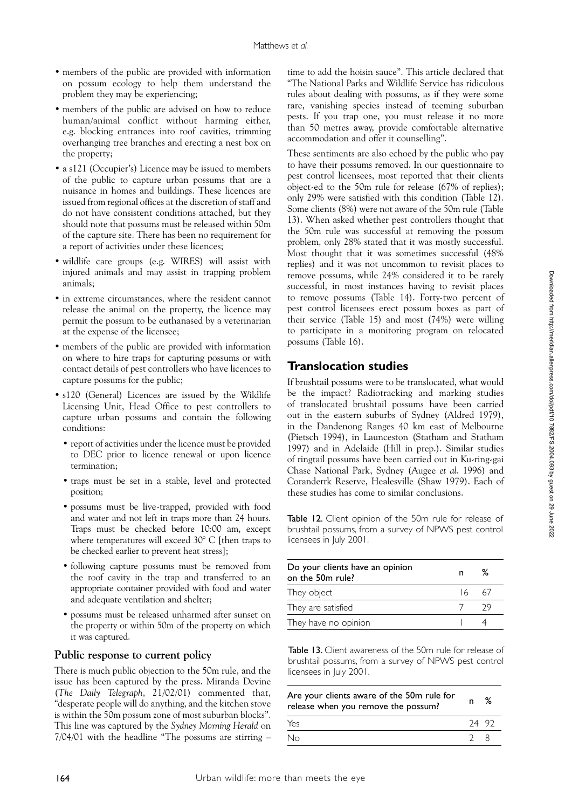- members of the public are provided with information on possum ecology to help them understand the problem they may be experiencing;
- members of the public are advised on how to reduce human/animal conflict without harming either, e.g. blocking entrances into roof cavities, trimming overhanging tree branches and erecting a nest box on the property;
- a s121 (Occupier's) Licence may be issued to members of the public to capture urban possums that are a nuisance in homes and buildings. These licences are issued from regional offices at the discretion of staff and do not have consistent conditions attached, but they should note that possums must be released within 50m of the capture site. There has been no requirement for a report of activities under these licences;
- wildlife care groups (e.g. WIRES) will assist with injured animals and may assist in trapping problem animals;
- in extreme circumstances, where the resident cannot release the animal on the property, the licence may permit the possum to be euthanased by a veterinarian at the expense of the licensee;
- members of the public are provided with information on where to hire traps for capturing possums or with contact details of pest controllers who have licences to capture possums for the public;
- s120 (General) Licences are issued by the Wildlife Licensing Unit, Head Office to pest controllers to capture urban possums and contain the following conditions:
	- report of activities under the licence must be provided to DEC prior to licence renewal or upon licence termination;
	- • traps must be set in a stable, level and protected position;
	- possums must be live-trapped, provided with food and water and not left in traps more than 24 hours. Traps must be checked before 10:00 am, except where temperatures will exceed 30° C [then traps to be checked earlier to prevent heat stress];
	- following capture possums must be removed from the roof cavity in the trap and transferred to an appropriate container provided with food and water and adequate ventilation and shelter;
	- • possums must be released unharmed after sunset on the property or within 50m of the property on which it was captured.

#### **Public response to current policy**

There is much public objection to the 50m rule, and the issue has been captured by the press. Miranda Devine (*The Daily Telegraph*, 21/02/01) commented that, "desperate people will do anything, and the kitchen stove is within the 50m possum zone of most suburban blocks". This line was captured by the *Sydney Morning Herald* on 7/04/01 with the headline "The possums are stirring –

time to add the hoisin sauce". This article declared that "The National Parks and Wildlife Service has ridiculous rules about dealing with possums, as if they were some rare, vanishing species instead of teeming suburban pests. If you trap one, you must release it no more than 50 metres away, provide comfortable alternative accommodation and offer it counselling".

These sentiments are also echoed by the public who pay to have their possums removed. In our questionnaire to pest control licensees, most reported that their clients object-ed to the 50m rule for release (67% of replies); only 29% were satisfied with this condition (Table 12). Some clients (8%) were not aware of the 50m rule (Table 13). When asked whether pest controllers thought that the 50m rule was successful at removing the possum problem, only 28% stated that it was mostly successful. Most thought that it was sometimes successful (48% replies) and it was not uncommon to revisit places to remove possums, while 24% considered it to be rarely successful, in most instances having to revisit places to remove possums (Table 14). Forty-two percent of pest control licensees erect possum boxes as part of their service (Table 15) and most (74%) were willing to participate in a monitoring program on relocated possums (Table 16).

#### **Translocation studies**

If brushtail possums were to be translocated, what would be the impact? Radiotracking and marking studies of translocated brushtail possums have been carried out in the eastern suburbs of Sydney (Aldred 1979), in the Dandenong Ranges 40 km east of Melbourne (Pietsch 1994), in Launceston (Statham and Statham 1997) and in Adelaide (Hill in prep.). Similar studies of ringtail possums have been carried out in Ku-ring-gai Chase National Park, Sydney (Augee *et al*. 1996) and Coranderrk Reserve, Healesville (Shaw 1979). Each of these studies has come to similar conclusions.

Table 12. Client opinion of the 50m rule for release of brushtail possums, from a survey of NPWS pest control licensees in July 2001.

| Do your clients have an opinion<br>on the 50m rule? | n | %          |
|-----------------------------------------------------|---|------------|
| They object                                         |   | $16 \t 67$ |
| They are satisfied                                  |   | - 79       |
| They have no opinion                                |   |            |

Table 13. Client awareness of the 50m rule for release of brushtail possums, from a survey of NPWS pest control licensees in July 2001.

| Are your clients aware of the 50m rule for<br>release when you remove the possum? | n           | % |
|-----------------------------------------------------------------------------------|-------------|---|
| Yes                                                                               | 24 92       |   |
| No                                                                                | $2^{\circ}$ |   |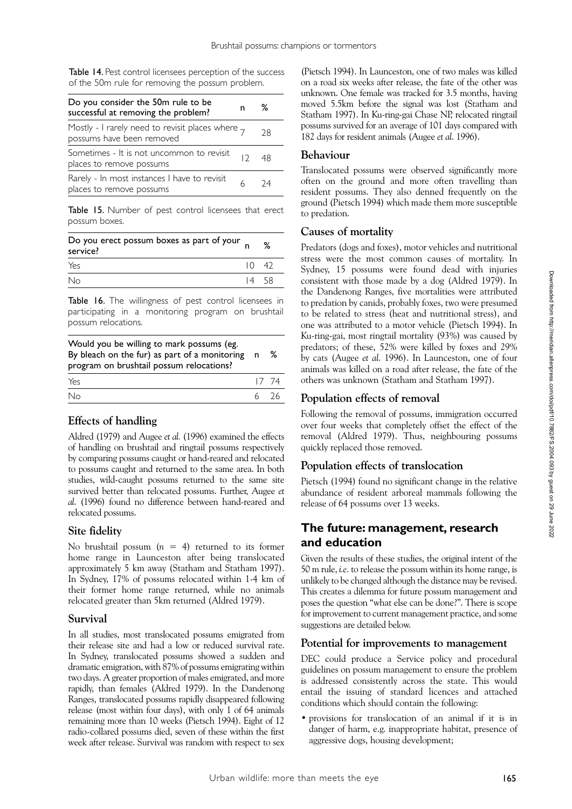Table 14. Pest control licensees perception of the success of the 50m rule for removing the possum problem.

| Do you consider the 50m rule to be<br>successful at removing the problem?     | n | ℅  |
|-------------------------------------------------------------------------------|---|----|
| Mostly - I rarely need to revisit places where 7<br>possums have been removed |   | 28 |
| Sometimes - It is not uncommon to revisit<br>places to remove possums         |   | 48 |
| Rarely - In most instances I have to revisit<br>places to remove possums      |   | 74 |

Table 15. Number of pest control licensees that erect possum boxes.

| Do you erect possum boxes as part of your<br>service? |               | % |
|-------------------------------------------------------|---------------|---|
| Yes                                                   | $10 \quad 42$ |   |
| No                                                    | $14 \quad 58$ |   |

Table 16. The willingness of pest control licensees in participating in a monitoring program on brushtail possum relocations.

| Would you be willing to mark possums (eg.<br>By bleach on the fur) as part of a monitoring n<br>program on brushtail possum relocations? |        | % |
|------------------------------------------------------------------------------------------------------------------------------------------|--------|---|
| Yes                                                                                                                                      | 17, 74 |   |
| No                                                                                                                                       | 6 76   |   |

#### **Effects of handling**

Aldred (1979) and Augee *et al.* (1996) examined the effects of handling on brushtail and ringtail possums respectively by comparing possums caught or hand-reared and relocated to possums caught and returned to the same area. In both studies, wild-caught possums returned to the same site survived better than relocated possums. Further, Augee *et al*. (1996) found no difference between hand-reared and relocated possums.

#### **Site fidelity**

No brushtail possum (*n* = 4) returned to its former home range in Launceston after being translocated approximately 5 km away (Statham and Statham 1997). In Sydney, 17% of possums relocated within 1-4 km of their former home range returned, while no animals relocated greater than 5km returned (Aldred 1979).

#### **Survival**

In all studies, most translocated possums emigrated from their release site and had a low or reduced survival rate. In Sydney, translocated possums showed a sudden and dramatic emigration, with 87% of possums emigrating within two days. A greater proportion of males emigrated, and more rapidly, than females (Aldred 1979). In the Dandenong Ranges, translocated possums rapidly disappeared following release (most within four days), with only 1 of 64 animals remaining more than 10 weeks (Pietsch 1994). Eight of 12 radio-collared possums died, seven of these within the first week after release. Survival was random with respect to sex

(Pietsch 1994). In Launceston, one of two males was killed on a road six weeks after release, the fate of the other was unknown. One female was tracked for 3.5 months, having moved 5.5km before the signal was lost (Statham and Statham 1997). In Ku-ring-gai Chase NP, relocated ringtail possums survived for an average of 101 days compared with 182 days for resident animals (Augee *et al*. 1996).

#### **Behaviour**

Translocated possums were observed significantly more often on the ground and more often travelling than resident possums. They also denned frequently on the ground (Pietsch 1994) which made them more susceptible to predation.

#### **Causes of mortality**

Predators (dogs and foxes), motor vehicles and nutritional stress were the most common causes of mortality. In Sydney, 15 possums were found dead with injuries consistent with those made by a dog (Aldred 1979). In the Dandenong Ranges, five mortalities were attributed to predation by canids, probably foxes, two were presumed to be related to stress (heat and nutritional stress), and one was attributed to a motor vehicle (Pietsch 1994). In Ku-ring-gai, most ringtail mortality (93%) was caused by predators; of these, 52% were killed by foxes and 29% by cats (Augee *et al*. 1996). In Launceston, one of four animals was killed on a road after release, the fate of the others was unknown (Statham and Statham 1997).

## **Population effects of removal**

Following the removal of possums, immigration occurred over four weeks that completely offset the effect of the removal (Aldred 1979). Thus, neighbouring possums quickly replaced those removed.

## **Population effects of translocation**

Pietsch (1994) found no significant change in the relative abundance of resident arboreal mammals following the release of 64 possums over 13 weeks.

## **The future: management, research and education**

Given the results of these studies, the original intent of the 50 m rule, *i.e*. to release the possum within its home range, is unlikely to be changed although the distance may be revised. This creates a dilemma for future possum management and poses the question "what else can be done?". There is scope for improvement to current management practice, and some suggestions are detailed below.

#### **Potential for improvements to management**

DEC could produce a Service policy and procedural guidelines on possum management to ensure the problem is addressed consistently across the state. This would entail the issuing of standard licences and attached conditions which should contain the following:

• provisions for translocation of an animal if it is in danger of harm, e.g. inappropriate habitat, presence of aggressive dogs, housing development;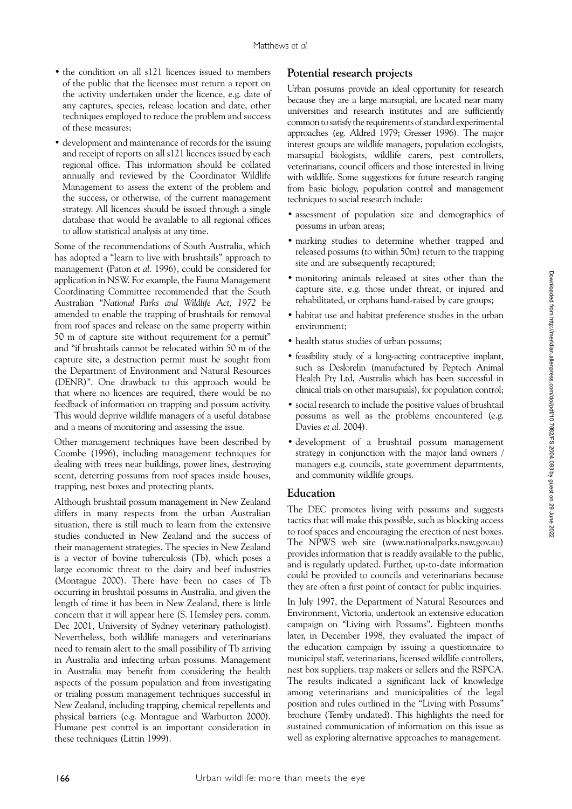- the condition on all s121 licences issued to members of the public that the licensee must return a report on the activity undertaken under the licence, e.g. date of any captures, species, release location and date, other techniques employed to reduce the problem and success of these measures;
- development and maintenance of records for the issuing and receipt of reports on all s121 licences issued by each regional office. This information should be collated annually and reviewed by the Coordinator Wildlife Management to assess the extent of the problem and the success, or otherwise, of the current management strategy. All licences should be issued through a single database that would be available to all regional offices to allow statistical analysis at any time.

Some of the recommendations of South Australia, which has adopted a "learn to live with brushtails" approach to management (Paton *et al*. 1996), could be considered for application in NSW. For example, the Fauna Management Coordinating Committee recommended that the South Australian "*National Parks and Wildlife Act, 1972* be amended to enable the trapping of brushtails for removal from roof spaces and release on the same property within 50 m of capture site without requirement for a permit" and "if brushtails cannot be relocated within 50 m of the capture site, a destruction permit must be sought from the Department of Environment and Natural Resources (DENR)". One drawback to this approach would be that where no licences are required, there would be no feedback of information on trapping and possum activity. This would deprive wildlife managers of a useful database and a means of monitoring and assessing the issue.

Other management techniques have been described by Coombe (1996), including management techniques for dealing with trees near buildings, power lines, destroying scent, deterring possums from roof spaces inside houses, trapping, nest boxes and protecting plants.

Although brushtail possum management in New Zealand differs in many respects from the urban Australian situation, there is still much to learn from the extensive studies conducted in New Zealand and the success of their management strategies. The species in New Zealand is a vector of bovine tuberculosis (Tb), which poses a large economic threat to the dairy and beef industries (Montague 2000). There have been no cases of Tb occurring in brushtail possums in Australia, and given the length of time it has been in New Zealand, there is little concern that it will appear here (S. Hemsley pers. comm. Dec 2001, University of Sydney veterinary pathologist). Nevertheless, both wildlife managers and veterinarians need to remain alert to the small possibility of Tb arriving in Australia and infecting urban possums. Management in Australia may benefit from considering the health aspects of the possum population and from investigating or trialing possum management techniques successful in New Zealand, including trapping, chemical repellents and physical barriers (e.g. Montague and Warburton 2000). Humane pest control is an important consideration in these techniques (Littin 1999).

## **Potential research projects**

Urban possums provide an ideal opportunity for research because they are a large marsupial, are located near many universities and research institutes and are sufficiently common to satisfy the requirements of standard experimental approaches (eg. Aldred 1979; Gresser 1996). The major interest groups are wildlife managers, population ecologists, marsupial biologists, wildlife carers, pest controllers, veterinarians, council officers and those interested in living with wildlife. Some suggestions for future research ranging from basic biology, population control and management techniques to social research include:

- assessment of population size and demographics of possums in urban areas;
- • marking studies to determine whether trapped and released possums (to within 50m) return to the trapping site and are subsequently recaptured;
- • monitoring animals released at sites other than the capture site, e.g. those under threat, or injured and rehabilitated, or orphans hand-raised by care groups;
- habitat use and habitat preference studies in the urban environment;
- health status studies of urban possums;
- feasibility study of a long-acting contraceptive implant, such as Deslorelin (manufactured by Peptech Animal Health Pty Ltd, Australia which has been successful in clinical trials on other marsupials), for population control;
- • social research to include the positive values of brushtail possums as well as the problems encountered (e.g. Davies *et al.* 2004).
- • development of a brushtail possum management strategy in conjunction with the major land owners / managers e.g. councils, state government departments, and community wildlife groups.

#### **Education**

The DEC promotes living with possums and suggests tactics that will make this possible, such as blocking access to roof spaces and encouraging the erection of nest boxes. The NPWS web site (www.nationalparks.nsw.gov.au) provides information that is readily available to the public, and is regularly updated. Further, up-to-date information could be provided to councils and veterinarians because they are often a first point of contact for public inquiries.

In July 1997, the Department of Natural Resources and Environment, Victoria, undertook an extensive education campaign on "Living with Possums". Eighteen months later, in December 1998, they evaluated the impact of the education campaign by issuing a questionnaire to municipal staff, veterinarians, licensed wildlife controllers, nest box suppliers, trap makers or sellers and the RSPCA. The results indicated a significant lack of knowledge among veterinarians and municipalities of the legal position and rules outlined in the "Living with Possums" brochure (Temby undated). This highlights the need for sustained communication of information on this issue as well as exploring alternative approaches to management.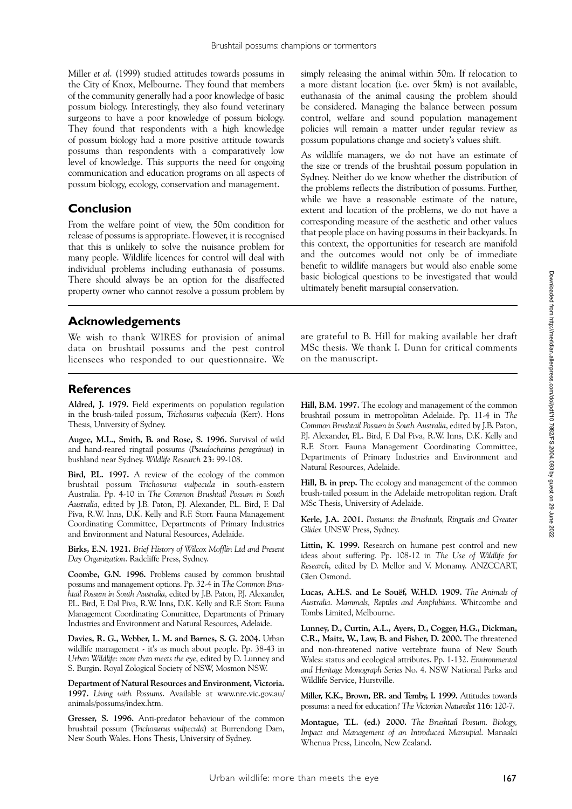Miller *et al*. (1999) studied attitudes towards possums in the City of Knox, Melbourne. They found that members of the community generally had a poor knowledge of basic possum biology. Interestingly, they also found veterinary surgeons to have a poor knowledge of possum biology. They found that respondents with a high knowledge of possum biology had a more positive attitude towards possums than respondents with a comparatively low level of knowledge. This supports the need for ongoing communication and education programs on all aspects of possum biology, ecology, conservation and management.

# **Conclusion**

From the welfare point of view, the 50m condition for release of possums is appropriate. However, it is recognised that this is unlikely to solve the nuisance problem for many people. Wildlife licences for control will deal with individual problems including euthanasia of possums. There should always be an option for the disaffected property owner who cannot resolve a possum problem by simply releasing the animal within 50m. If relocation to a more distant location (i.e. over 5km) is not available, euthanasia of the animal causing the problem should be considered. Managing the balance between possum control, welfare and sound population management policies will remain a matter under regular review as possum populations change and society's values shift.

As wildlife managers, we do not have an estimate of the size or trends of the brushtail possum population in Sydney. Neither do we know whether the distribution of the problems reflects the distribution of possums. Further, while we have a reasonable estimate of the nature, extent and location of the problems, we do not have a corresponding measure of the aesthetic and other values that people place on having possums in their backyards. In this context, the opportunities for research are manifold and the outcomes would not only be of immediate benefit to wildlife managers but would also enable some basic biological questions to be investigated that would ultimately benefit marsupial conservation.

## **Acknowledgements**

We wish to thank WIRES for provision of animal data on brushtail possums and the pest control licensees who responded to our questionnaire. We

are grateful to B. Hill for making available her draft MSc thesis. We thank I. Dunn for critical comments on the manuscript.

## **References**

**Aldred, J. 1979.** Field experiments on population regulation in the brush-tailed possum, *Trichosurus vulpecula* (Kerr). Hons Thesis, University of Sydney.

**Augee, M.L., Smith, B. and Rose, S. 1996.** Survival of wild and hand-reared ringtail possums (*Pseudocheirus peregrinus*) in bushland near Sydney. *Wildlife Research* **23**: 99-108.

**Bird, P.L. 1997.** A review of the ecology of the common brushtail possum *Trichosurus vulpecula* in south-eastern Australia. Pp. 4-10 in *The Common Brushtail Possum in South Australia*, edited by J.B. Paton, P.J. Alexander, P.L. Bird, F. Dal Piva, R.W. Inns, D.K. Kelly and R.F. Storr. Fauna Management Coordinating Committee, Departments of Primary Industries and Environment and Natural Resources, Adelaide.

**Birks, E.N. 1921.** *Brief History of Wilcox Mofflin Ltd and Present Day Organization*. Radcliffe Press, Sydney.

**Coombe, G.N. 1996.** Problems caused by common brushtail possums and management options. Pp. 32-4 in *The Common Brushtail Possum in South Australia*, edited by J.B. Paton, P.J. Alexander, P.L. Bird, F. Dal Piva, R.W. Inns, D.K. Kelly and R.F. Storr. Fauna Management Coordinating Committee, Departments of Primary Industries and Environment and Natural Resources, Adelaide.

**Davies, R. G., Webber, L. M. and Barnes, S. G. 2004.** Urban wildlife management - it's as much about people. Pp. 38-43 in *Urban Wildlife: more than meets the eye*, edited by D. Lunney and S. Burgin. Royal Zological Society of NSW, Mosmon NSW.

**Department of Natural Resources and Environment, Victoria. 1997.** *Living with Possums*. Available at www.nre.vic.gov.au/ animals/possums/index.htm.

**Gresser, S. 1996.** Anti-predator behaviour of the common brushtail possum (*Trichosurus vulpecula*) at Burrendong Dam, New South Wales. Hons Thesis, University of Sydney.

**Hill, B.M. 1997.** The ecology and management of the common brushtail possum in metropolitan Adelaide. Pp. 11-4 in *The Common Brushtail Possum in South Australia*, edited by J.B. Paton, P.J. Alexander, P.L. Bird, F. Dal Piva, R.W. Inns, D.K. Kelly and R.F. Storr. Fauna Management Coordinating Committee, Departments of Primary Industries and Environment and Natural Resources, Adelaide.

**Hill, B. in prep.** The ecology and management of the common brush-tailed possum in the Adelaide metropolitan region. Draft MSc Thesis, University of Adelaide.

**Kerle, J.A. 2001.** *Possums: the Brushtails, Ringtails and Greater Glider.* UNSW Press, Sydney.

**Littin, K. 1999.** Research on humane pest control and new ideas about suffering. Pp. 108-12 in *The Use of Wildlife for Research*, edited by D. Mellor and V. Monamy. ANZCCART, Glen Osmond.

**Lucas, A.H.S. and Le Souëf, W.H.D. 1909.** *The Animals of Australia. Mammals, Reptiles and Amphibians*. Whitcombe and Tombs Limited, Melbourne.

**Lunney, D., Curtin, A.L., Ayers, D., Cogger, H.G., Dickman, C.R., Maitz, W., Law, B. and Fisher, D. 2000.** The threatened and non-threatened native vertebrate fauna of New South Wales: status and ecological attributes. Pp. 1-132. *Environmental and Heritage Monograph Series* No. 4. NSW National Parks and Wildlife Service, Hurstville.

**Miller, K.K., Brown, P.R. and Temby, I. 1999.** Attitudes towards possums: a need for education? *The Victorian Naturalist* **116**: 120-7.

**Montague, T.L. (ed.) 2000.** *The Brushtail Possum. Biology, Impact and Management of an Introduced Marsupial*. Manaaki Whenua Press, Lincoln, New Zealand.